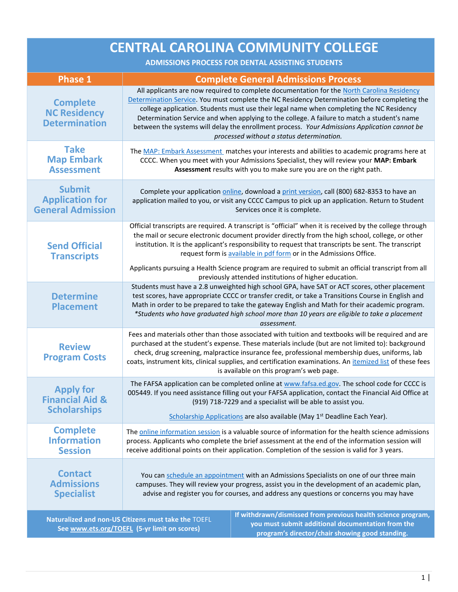| <b>CENTRAL CAROLINA COMMUNITY COLLEGE</b><br><b>ADMISSIONS PROCESS FOR DENTAL ASSISTING STUDENTS</b>                                                                                                                                                                        |                                                                                                                                                                                                                                                                                                                                                                                                                                                                                                                                                                                   |                                                                                                                                                                                                                                                                                                                                                                                                                                                                                                                                                             |
|-----------------------------------------------------------------------------------------------------------------------------------------------------------------------------------------------------------------------------------------------------------------------------|-----------------------------------------------------------------------------------------------------------------------------------------------------------------------------------------------------------------------------------------------------------------------------------------------------------------------------------------------------------------------------------------------------------------------------------------------------------------------------------------------------------------------------------------------------------------------------------|-------------------------------------------------------------------------------------------------------------------------------------------------------------------------------------------------------------------------------------------------------------------------------------------------------------------------------------------------------------------------------------------------------------------------------------------------------------------------------------------------------------------------------------------------------------|
|                                                                                                                                                                                                                                                                             |                                                                                                                                                                                                                                                                                                                                                                                                                                                                                                                                                                                   |                                                                                                                                                                                                                                                                                                                                                                                                                                                                                                                                                             |
| <b>Phase 1</b><br><b>Complete</b><br><b>NC Residency</b><br><b>Determination</b>                                                                                                                                                                                            | <b>Complete General Admissions Process</b><br>All applicants are now required to complete documentation for the North Carolina Residency<br>Determination Service. You must complete the NC Residency Determination before completing the<br>college application. Students must use their legal name when completing the NC Residency<br>Determination Service and when applying to the college. A failure to match a student's name<br>between the systems will delay the enrollment process. Your Admissions Application cannot be<br>processed without a status determination. |                                                                                                                                                                                                                                                                                                                                                                                                                                                                                                                                                             |
| <b>Take</b><br><b>Map Embark</b><br><b>Assessment</b>                                                                                                                                                                                                                       |                                                                                                                                                                                                                                                                                                                                                                                                                                                                                                                                                                                   | The MAP: Embark Assessment matches your interests and abilities to academic programs here at<br>CCCC. When you meet with your Admissions Specialist, they will review your MAP: Embark<br>Assessment results with you to make sure you are on the right path.                                                                                                                                                                                                                                                                                               |
| <b>Submit</b><br><b>Application for</b><br><b>General Admission</b>                                                                                                                                                                                                         |                                                                                                                                                                                                                                                                                                                                                                                                                                                                                                                                                                                   | Complete your application online, download a print version, call (800) 682-8353 to have an<br>application mailed to you, or visit any CCCC Campus to pick up an application. Return to Student<br>Services once it is complete.                                                                                                                                                                                                                                                                                                                             |
| <b>Send Official</b><br><b>Transcripts</b>                                                                                                                                                                                                                                  |                                                                                                                                                                                                                                                                                                                                                                                                                                                                                                                                                                                   | Official transcripts are required. A transcript is "official" when it is received by the college through<br>the mail or secure electronic document provider directly from the high school, college, or other<br>institution. It is the applicant's responsibility to request that transcripts be sent. The transcript<br>request form is available in pdf form or in the Admissions Office.<br>Applicants pursuing a Health Science program are required to submit an official transcript from all<br>previously attended institutions of higher education. |
| <b>Determine</b><br><b>Placement</b>                                                                                                                                                                                                                                        | Students must have a 2.8 unweighted high school GPA, have SAT or ACT scores, other placement<br>test scores, have appropriate CCCC or transfer credit, or take a Transitions Course in English and<br>Math in order to be prepared to take the gateway English and Math for their academic program.<br>*Students who have graduated high school more than 10 years are eligible to take a placement<br>assessment.                                                                                                                                                                |                                                                                                                                                                                                                                                                                                                                                                                                                                                                                                                                                             |
| <b>Review</b><br><b>Program Costs</b>                                                                                                                                                                                                                                       | Fees and materials other than those associated with tuition and textbooks will be required and are<br>purchased at the student's expense. These materials include (but are not limited to): background<br>check, drug screening, malpractice insurance fee, professional membership dues, uniforms, lab<br>coats, instrument kits, clinical supplies, and certification examinations. An itemized list of these fees<br>is available on this program's web page.                                                                                                                  |                                                                                                                                                                                                                                                                                                                                                                                                                                                                                                                                                             |
| <b>Apply for</b><br><b>Financial Aid &amp;</b><br><b>Scholarships</b>                                                                                                                                                                                                       | The FAFSA application can be completed online at www.fafsa.ed.gov. The school code for CCCC is<br>005449. If you need assistance filling out your FAFSA application, contact the Financial Aid Office at<br>(919) 718-7229 and a specialist will be able to assist you.<br>Scholarship Applications are also available (May 1 <sup>st</sup> Deadline Each Year).                                                                                                                                                                                                                  |                                                                                                                                                                                                                                                                                                                                                                                                                                                                                                                                                             |
| <b>Complete</b><br><b>Information</b><br><b>Session</b>                                                                                                                                                                                                                     | The online information session is a valuable source of information for the health science admissions<br>process. Applicants who complete the brief assessment at the end of the information session will<br>receive additional points on their application. Completion of the session is valid for 3 years.                                                                                                                                                                                                                                                                       |                                                                                                                                                                                                                                                                                                                                                                                                                                                                                                                                                             |
| <b>Contact</b><br><b>Admissions</b><br><b>Specialist</b>                                                                                                                                                                                                                    | You can schedule an appointment with an Admissions Specialists on one of our three main<br>campuses. They will review your progress, assist you in the development of an academic plan,<br>advise and register you for courses, and address any questions or concerns you may have                                                                                                                                                                                                                                                                                                |                                                                                                                                                                                                                                                                                                                                                                                                                                                                                                                                                             |
| If withdrawn/dismissed from previous health science program,<br>Naturalized and non-US Citizens must take the TOEFL<br>you must submit additional documentation from the<br>See www.ets.org/TOEFL (5-yr limit on scores)<br>program's director/chair showing good standing. |                                                                                                                                                                                                                                                                                                                                                                                                                                                                                                                                                                                   |                                                                                                                                                                                                                                                                                                                                                                                                                                                                                                                                                             |